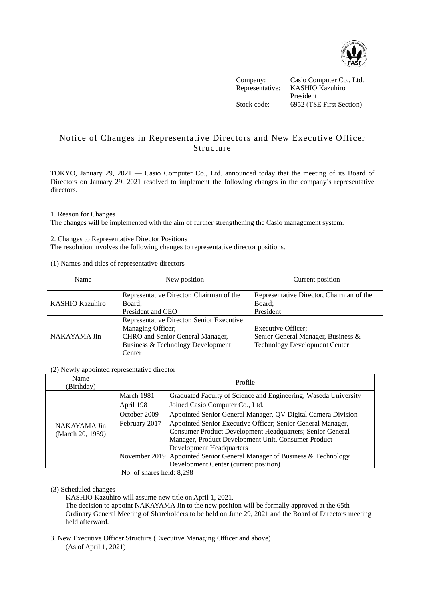

Company: Casio Computer Co., Ltd. Representative: KASHIO Kazuhiro President Stock code: 6952 (TSE First Section)

## Notice of Changes in Representative Directors and New Executive Officer Structure

TOKYO, January 29, 2021 — Casio Computer Co., Ltd. announced today that the meeting of its Board of Directors on January 29, 2021 resolved to implement the following changes in the company's representative directors.

## 1. Reason for Changes

The changes will be implemented with the aim of further strengthening the Casio management system.

2. Changes to Representative Director Positions The resolution involves the following changes to representative director positions.

| Name                   | New position                              | Current position                         |
|------------------------|-------------------------------------------|------------------------------------------|
|                        | Representative Director, Chairman of the  | Representative Director, Chairman of the |
| <b>KASHIO Kazuhiro</b> | Board:                                    | Board:                                   |
|                        | President and CEO                         | President                                |
|                        | Representative Director, Senior Executive |                                          |
| NAKAYAMA Jin           | Managing Officer;                         | <b>Executive Officer:</b>                |
|                        | CHRO and Senior General Manager,          | Senior General Manager, Business &       |
|                        | Business & Technology Development         | <b>Technology Development Center</b>     |
|                        | Center                                    |                                          |

(1) Names and titles of representative directors

(2) Newly appointed representative director

| Name<br>(Birthday)               | Profile       |                                                                         |  |
|----------------------------------|---------------|-------------------------------------------------------------------------|--|
| NAKAYAMA Jin<br>(March 20, 1959) | March 1981    | Graduated Faculty of Science and Engineering, Waseda University         |  |
|                                  | April 1981    | Joined Casio Computer Co., Ltd.                                         |  |
|                                  | October 2009  | Appointed Senior General Manager, QV Digital Camera Division            |  |
|                                  | February 2017 | Appointed Senior Executive Officer; Senior General Manager,             |  |
|                                  |               | Consumer Product Development Headquarters; Senior General               |  |
|                                  |               | Manager, Product Development Unit, Consumer Product                     |  |
|                                  |               | <b>Development Headquarters</b>                                         |  |
|                                  |               | November 2019 Appointed Senior General Manager of Business & Technology |  |
|                                  |               | Development Center (current position)                                   |  |

No. of shares held: 8,298

## (3) Scheduled changes

KASHIO Kazuhiro will assume new title on April 1, 2021.

The decision to appoint NAKAYAMA Jin to the new position will be formally approved at the 65th Ordinary General Meeting of Shareholders to be held on June 29, 2021 and the Board of Directors meeting held afterward.

3. New Executive Officer Structure (Executive Managing Officer and above) (As of April 1, 2021)